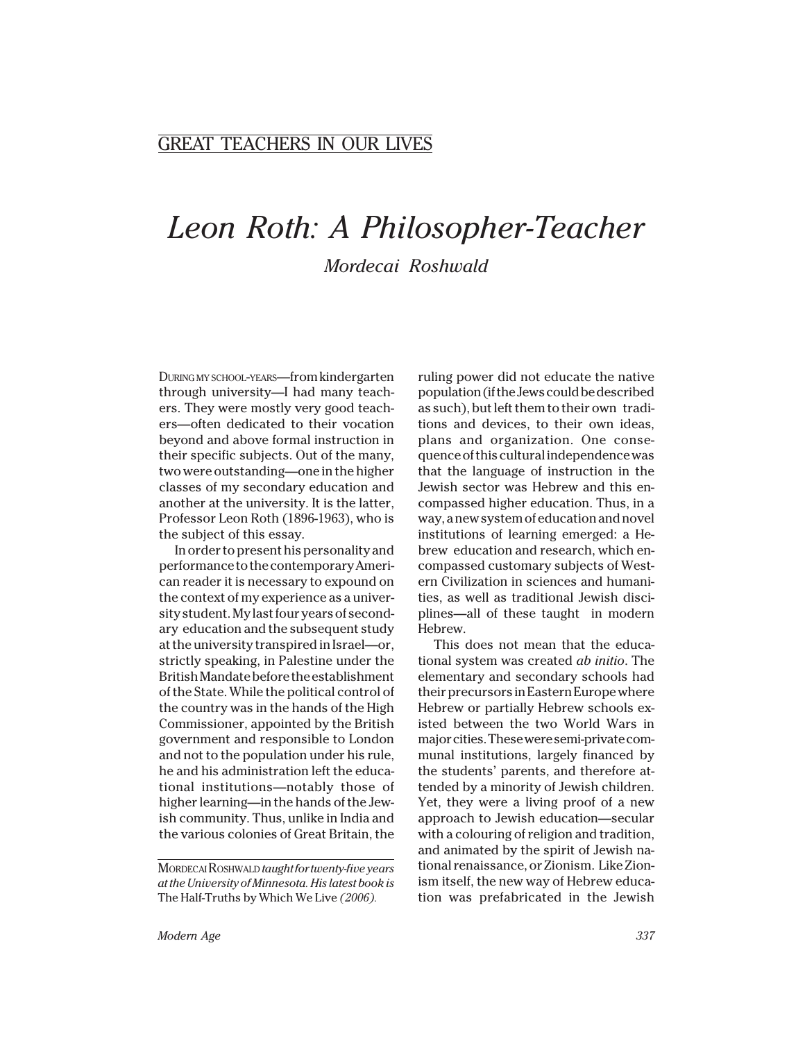## GREAT TEACHERS IN OUR LIVES

## *Leon Roth: A Philosopher-Teacher Mordecai Roshwald*

DURING MY SCHOOL-YEARS—from kindergarten through university—I had many teachers. They were mostly very good teachers—often dedicated to their vocation beyond and above formal instruction in their specific subjects. Out of the many, two were outstanding—one in the higher classes of my secondary education and another at the university. It is the latter, Professor Leon Roth (1896-1963), who is the subject of this essay.

In order to present his personality and performance to the contemporary American reader it is necessary to expound on the context of my experience as a university student. My last four years of secondary education and the subsequent study at the university transpired in Israel—or, strictly speaking, in Palestine under the British Mandate before the establishment of the State. While the political control of the country was in the hands of the High Commissioner, appointed by the British government and responsible to London and not to the population under his rule, he and his administration left the educational institutions—notably those of higher learning—in the hands of the Jewish community. Thus, unlike in India and the various colonies of Great Britain, the

ruling power did not educate the native population (if the Jews could be described as such), but left them to their own traditions and devices, to their own ideas, plans and organization. One consequence of this cultural independence was that the language of instruction in the Jewish sector was Hebrew and this encompassed higher education. Thus, in a way, a new system of education and novel institutions of learning emerged: a Hebrew education and research, which encompassed customary subjects of Western Civilization in sciences and humanities, as well as traditional Jewish disciplines—all of these taught in modern Hebrew.

This does not mean that the educational system was created *ab initio*. The elementary and secondary schools had their precursors in Eastern Europe where Hebrew or partially Hebrew schools existed between the two World Wars in major cities. These were semi-private communal institutions, largely financed by the students' parents, and therefore attended by a minority of Jewish children. Yet, they were a living proof of a new approach to Jewish education—secular with a colouring of religion and tradition, and animated by the spirit of Jewish national renaissance, or Zionism. Like Zionism itself, the new way of Hebrew education was prefabricated in the Jewish

MORDECAI ROSHWALD *taught for twenty-five years at the University of Minnesota. His latest book is* The Half-Truths by Which We Live *(2006).*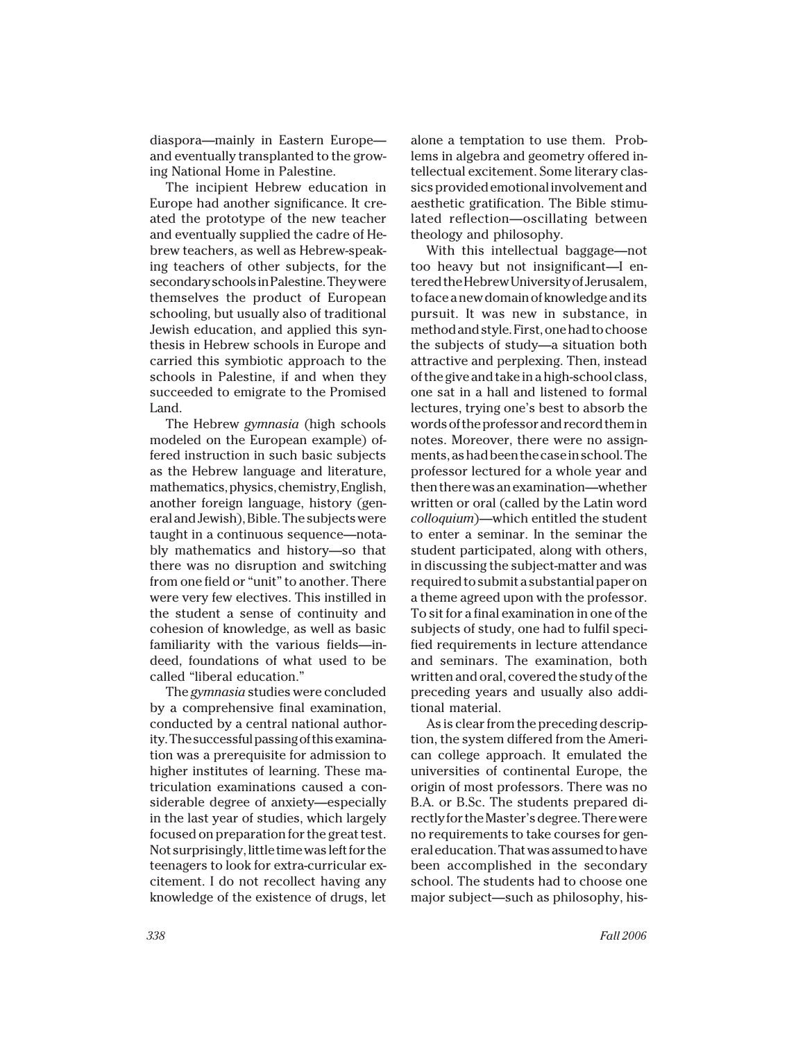diaspora—mainly in Eastern Europe and eventually transplanted to the growing National Home in Palestine.

The incipient Hebrew education in Europe had another significance. It created the prototype of the new teacher and eventually supplied the cadre of Hebrew teachers, as well as Hebrew-speaking teachers of other subjects, for the secondary schools in Palestine. They were themselves the product of European schooling, but usually also of traditional Jewish education, and applied this synthesis in Hebrew schools in Europe and carried this symbiotic approach to the schools in Palestine, if and when they succeeded to emigrate to the Promised Land.

The Hebrew *gymnasia* (high schools modeled on the European example) offered instruction in such basic subjects as the Hebrew language and literature, mathematics, physics, chemistry, English, another foreign language, history (general and Jewish), Bible. The subjects were taught in a continuous sequence—notably mathematics and history—so that there was no disruption and switching from one field or "unit" to another. There were very few electives. This instilled in the student a sense of continuity and cohesion of knowledge, as well as basic familiarity with the various fields—indeed, foundations of what used to be called "liberal education."

The *gymnasia* studies were concluded by a comprehensive final examination, conducted by a central national authority. The successful passing of this examination was a prerequisite for admission to higher institutes of learning. These matriculation examinations caused a considerable degree of anxiety—especially in the last year of studies, which largely focused on preparation for the great test. Not surprisingly, little time was left for the teenagers to look for extra-curricular excitement. I do not recollect having any knowledge of the existence of drugs, let

alone a temptation to use them. Problems in algebra and geometry offered intellectual excitement. Some literary classics provided emotional involvement and aesthetic gratification. The Bible stimulated reflection—oscillating between theology and philosophy.

With this intellectual baggage—not too heavy but not insignificant—I entered the Hebrew University of Jerusalem, to face a new domain of knowledge and its pursuit. It was new in substance, in method and style. First, one had to choose the subjects of study—a situation both attractive and perplexing. Then, instead of the give and take in a high-school class, one sat in a hall and listened to formal lectures, trying one's best to absorb the words of the professor and record them in notes. Moreover, there were no assignments, as had been the case in school. The professor lectured for a whole year and then there was an examination—whether written or oral (called by the Latin word *colloquium*)—which entitled the student to enter a seminar. In the seminar the student participated, along with others, in discussing the subject-matter and was required to submit a substantial paper on a theme agreed upon with the professor. To sit for a final examination in one of the subjects of study, one had to fulfil specified requirements in lecture attendance and seminars. The examination, both written and oral, covered the study of the preceding years and usually also additional material.

As is clear from the preceding description, the system differed from the American college approach. It emulated the universities of continental Europe, the origin of most professors. There was no B.A. or B.Sc. The students prepared directly for the Master's degree. There were no requirements to take courses for general education. That was assumed to have been accomplished in the secondary school. The students had to choose one major subject—such as philosophy, his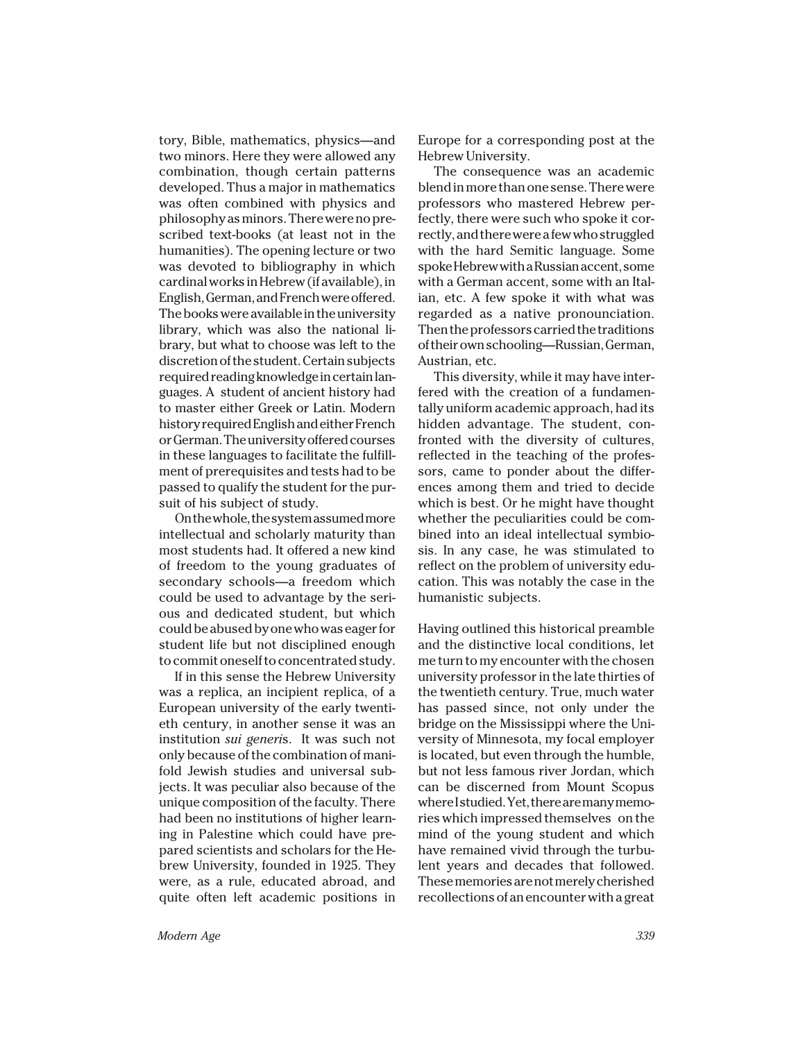tory, Bible, mathematics, physics—and two minors. Here they were allowed any combination, though certain patterns developed. Thus a major in mathematics was often combined with physics and philosophy as minors. There were no prescribed text-books (at least not in the humanities). The opening lecture or two was devoted to bibliography in which cardinal works in Hebrew (if available), in English, German, and French were offered. The books were available in the university library, which was also the national library, but what to choose was left to the discretion of the student. Certain subjects required reading knowledge in certain languages. A student of ancient history had to master either Greek or Latin. Modern history required English and either French or German. The university offered courses in these languages to facilitate the fulfillment of prerequisites and tests had to be passed to qualify the student for the pursuit of his subject of study.

On the whole, the system assumed more intellectual and scholarly maturity than most students had. It offered a new kind of freedom to the young graduates of secondary schools—a freedom which could be used to advantage by the serious and dedicated student, but which could be abused by one who was eager for student life but not disciplined enough to commit oneself to concentrated study.

If in this sense the Hebrew University was a replica, an incipient replica, of a European university of the early twentieth century, in another sense it was an institution *sui generi*s. It was such not only because of the combination of manifold Jewish studies and universal subjects. It was peculiar also because of the unique composition of the faculty. There had been no institutions of higher learning in Palestine which could have prepared scientists and scholars for the Hebrew University, founded in 1925. They were, as a rule, educated abroad, and quite often left academic positions in Europe for a corresponding post at the Hebrew University.

The consequence was an academic blend in more than one sense. There were professors who mastered Hebrew perfectly, there were such who spoke it correctly, and there were a few who struggled with the hard Semitic language. Some spoke Hebrew with a Russian accent, some with a German accent, some with an Italian, etc. A few spoke it with what was regarded as a native pronounciation. Then the professors carried the traditions of their own schooling—Russian, German, Austrian, etc.

This diversity, while it may have interfered with the creation of a fundamentally uniform academic approach, had its hidden advantage. The student, confronted with the diversity of cultures, reflected in the teaching of the professors, came to ponder about the differences among them and tried to decide which is best. Or he might have thought whether the peculiarities could be combined into an ideal intellectual symbiosis. In any case, he was stimulated to reflect on the problem of university education. This was notably the case in the humanistic subjects.

Having outlined this historical preamble and the distinctive local conditions, let me turn to my encounter with the chosen university professor in the late thirties of the twentieth century. True, much water has passed since, not only under the bridge on the Mississippi where the University of Minnesota, my focal employer is located, but even through the humble, but not less famous river Jordan, which can be discerned from Mount Scopus where I studied. Yet, there are many memories which impressed themselves on the mind of the young student and which have remained vivid through the turbulent years and decades that followed. These memories are not merely cherished recollections of an encounter with a great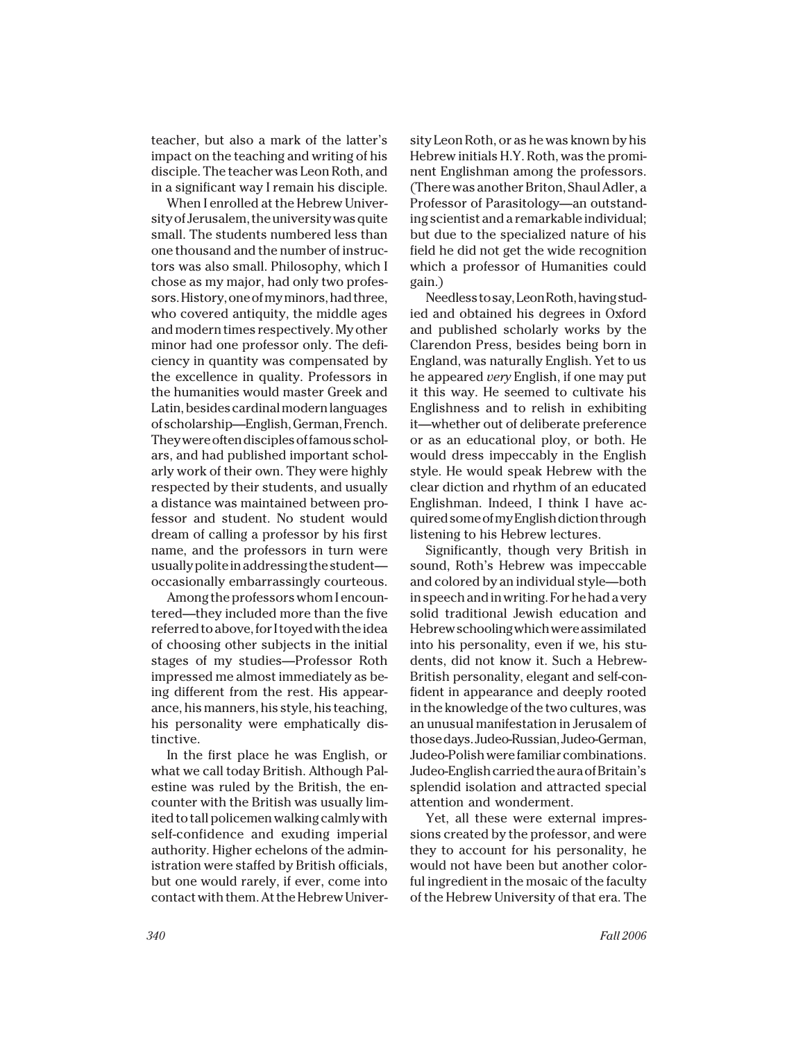teacher, but also a mark of the latter's impact on the teaching and writing of his disciple. The teacher was Leon Roth, and in a significant way I remain his disciple.

When I enrolled at the Hebrew University of Jerusalem, the university was quite small. The students numbered less than one thousand and the number of instructors was also small. Philosophy, which I chose as my major, had only two professors. History, one of my minors, had three, who covered antiquity, the middle ages and modern times respectively. My other minor had one professor only. The deficiency in quantity was compensated by the excellence in quality. Professors in the humanities would master Greek and Latin, besides cardinal modern languages of scholarship—English, German, French. They were often disciples of famous scholars, and had published important scholarly work of their own. They were highly respected by their students, and usually a distance was maintained between professor and student. No student would dream of calling a professor by his first name, and the professors in turn were usually polite in addressing the student occasionally embarrassingly courteous.

Among the professors whom I encountered—they included more than the five referred to above, for I toyed with the idea of choosing other subjects in the initial stages of my studies—Professor Roth impressed me almost immediately as being different from the rest. His appearance, his manners, his style, his teaching, his personality were emphatically distinctive.

In the first place he was English, or what we call today British. Although Palestine was ruled by the British, the encounter with the British was usually limited to tall policemen walking calmly with self-confidence and exuding imperial authority. Higher echelons of the administration were staffed by British officials, but one would rarely, if ever, come into contact with them. At the Hebrew Univer-

sity Leon Roth, or as he was known by his Hebrew initials H.Y. Roth, was the prominent Englishman among the professors. (There was another Briton, Shaul Adler, a Professor of Parasitology—an outstanding scientist and a remarkable individual; but due to the specialized nature of his field he did not get the wide recognition which a professor of Humanities could gain.)

Needless to say, Leon Roth, having studied and obtained his degrees in Oxford and published scholarly works by the Clarendon Press, besides being born in England, was naturally English. Yet to us he appeared *very* English, if one may put it this way. He seemed to cultivate his Englishness and to relish in exhibiting it—whether out of deliberate preference or as an educational ploy, or both. He would dress impeccably in the English style. He would speak Hebrew with the clear diction and rhythm of an educated Englishman. Indeed, I think I have acquired some of my English diction through listening to his Hebrew lectures.

Significantly, though very British in sound, Roth's Hebrew was impeccable and colored by an individual style—both in speech and in writing. For he had a very solid traditional Jewish education and Hebrew schooling which were assimilated into his personality, even if we, his students, did not know it. Such a Hebrew-British personality, elegant and self-confident in appearance and deeply rooted in the knowledge of the two cultures, was an unusual manifestation in Jerusalem of those days. Judeo-Russian, Judeo-German, Judeo-Polish were familiar combinations. Judeo-English carried the aura of Britain's splendid isolation and attracted special attention and wonderment.

Yet, all these were external impressions created by the professor, and were they to account for his personality, he would not have been but another colorful ingredient in the mosaic of the faculty of the Hebrew University of that era. The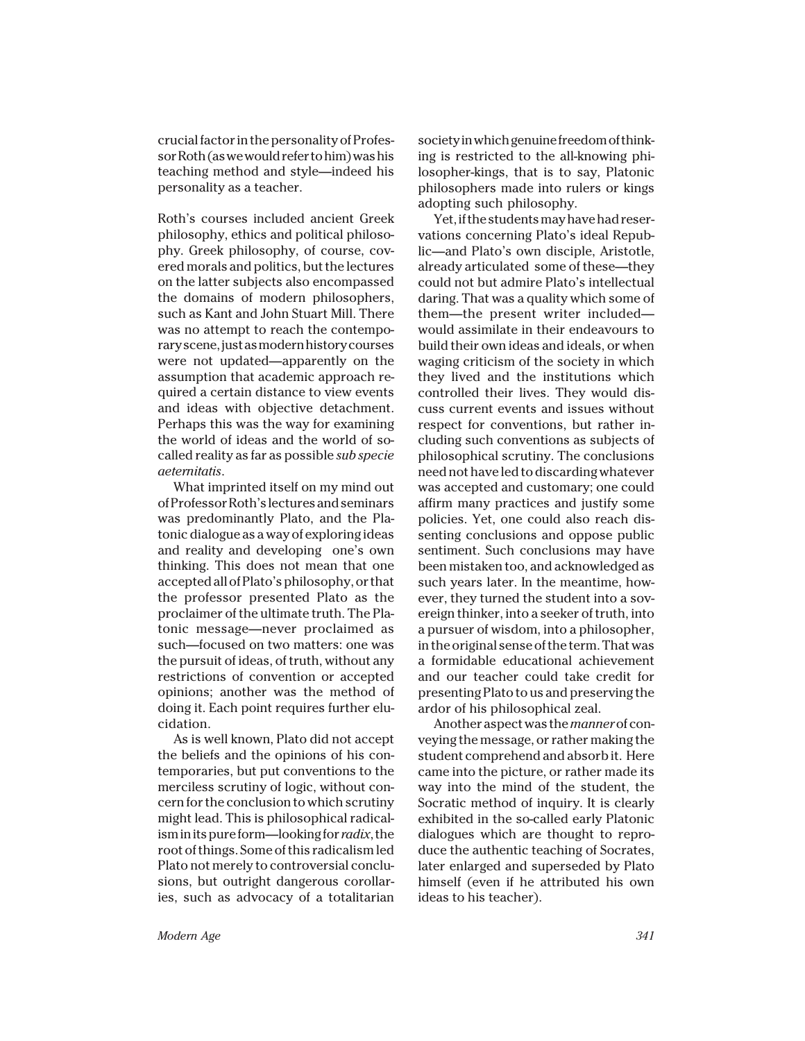crucial factor in the personality of Professor Roth (as we would refer to him) was his teaching method and style—indeed his personality as a teacher.

Roth's courses included ancient Greek philosophy, ethics and political philosophy. Greek philosophy, of course, covered morals and politics, but the lectures on the latter subjects also encompassed the domains of modern philosophers, such as Kant and John Stuart Mill. There was no attempt to reach the contemporary scene, just as modern history courses were not updated—apparently on the assumption that academic approach required a certain distance to view events and ideas with objective detachment. Perhaps this was the way for examining the world of ideas and the world of socalled reality as far as possible *sub specie aeternitatis*.

What imprinted itself on my mind out of Professor Roth's lectures and seminars was predominantly Plato, and the Platonic dialogue as a way of exploring ideas and reality and developing one's own thinking. This does not mean that one accepted all of Plato's philosophy, or that the professor presented Plato as the proclaimer of the ultimate truth. The Platonic message—never proclaimed as such—focused on two matters: one was the pursuit of ideas, of truth, without any restrictions of convention or accepted opinions; another was the method of doing it. Each point requires further elucidation.

As is well known, Plato did not accept the beliefs and the opinions of his contemporaries, but put conventions to the merciless scrutiny of logic, without concern for the conclusion to which scrutiny might lead. This is philosophical radicalism in its pure form—looking for *radix*, the root of things. Some of this radicalism led Plato not merely to controversial conclusions, but outright dangerous corollaries, such as advocacy of a totalitarian

society in which genuine freedom of thinking is restricted to the all-knowing philosopher-kings, that is to say, Platonic philosophers made into rulers or kings adopting such philosophy.

Yet, if the students may have had reservations concerning Plato's ideal Republic—and Plato's own disciple, Aristotle, already articulated some of these—they could not but admire Plato's intellectual daring. That was a quality which some of them—the present writer included would assimilate in their endeavours to build their own ideas and ideals, or when waging criticism of the society in which they lived and the institutions which controlled their lives. They would discuss current events and issues without respect for conventions, but rather including such conventions as subjects of philosophical scrutiny. The conclusions need not have led to discarding whatever was accepted and customary; one could affirm many practices and justify some policies. Yet, one could also reach dissenting conclusions and oppose public sentiment. Such conclusions may have been mistaken too, and acknowledged as such years later. In the meantime, however, they turned the student into a sovereign thinker, into a seeker of truth, into a pursuer of wisdom, into a philosopher, in the original sense of the term. That was a formidable educational achievement and our teacher could take credit for presenting Plato to us and preserving the ardor of his philosophical zeal.

Another aspect was the *manner* of conveying the message, or rather making the student comprehend and absorb it. Here came into the picture, or rather made its way into the mind of the student, the Socratic method of inquiry. It is clearly exhibited in the so-called early Platonic dialogues which are thought to reproduce the authentic teaching of Socrates, later enlarged and superseded by Plato himself (even if he attributed his own ideas to his teacher).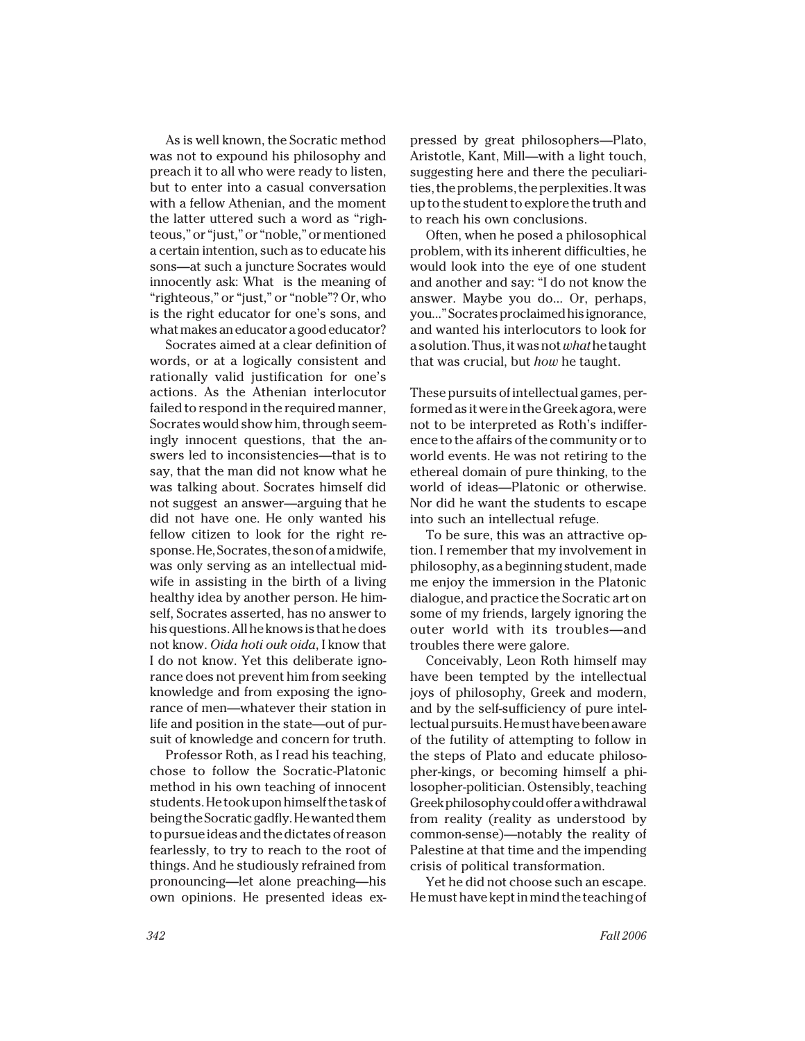As is well known, the Socratic method was not to expound his philosophy and preach it to all who were ready to listen, but to enter into a casual conversation with a fellow Athenian, and the moment the latter uttered such a word as "righteous," or "just," or "noble," or mentioned a certain intention, such as to educate his sons—at such a juncture Socrates would innocently ask: What is the meaning of "righteous," or "just," or "noble"? Or, who is the right educator for one's sons, and what makes an educator a good educator?

Socrates aimed at a clear definition of words, or at a logically consistent and rationally valid justification for one's actions. As the Athenian interlocutor failed to respond in the required manner, Socrates would show him, through seemingly innocent questions, that the answers led to inconsistencies—that is to say, that the man did not know what he was talking about. Socrates himself did not suggest an answer—arguing that he did not have one. He only wanted his fellow citizen to look for the right response. He, Socrates, the son of a midwife, was only serving as an intellectual midwife in assisting in the birth of a living healthy idea by another person. He himself, Socrates asserted, has no answer to his questions. All he knows is that he does not know. *Oida hoti ouk oida*, I know that I do not know. Yet this deliberate ignorance does not prevent him from seeking knowledge and from exposing the ignorance of men—whatever their station in life and position in the state—out of pursuit of knowledge and concern for truth.

Professor Roth, as I read his teaching, chose to follow the Socratic-Platonic method in his own teaching of innocent students. He took upon himself the task of being the Socratic gadfly. He wanted them to pursue ideas and the dictates of reason fearlessly, to try to reach to the root of things. And he studiously refrained from pronouncing—let alone preaching—his own opinions. He presented ideas expressed by great philosophers—Plato, Aristotle, Kant, Mill—with a light touch, suggesting here and there the peculiarities, the problems, the perplexities. It was up to the student to explore the truth and to reach his own conclusions.

Often, when he posed a philosophical problem, with its inherent difficulties, he would look into the eye of one student and another and say: "I do not know the answer. Maybe you do... Or, perhaps, you..." Socrates proclaimed his ignorance, and wanted his interlocutors to look for a solution. Thus, it was not *what* he taught that was crucial, but *how* he taught.

These pursuits of intellectual games, performed as it were in the Greek agora, were not to be interpreted as Roth's indifference to the affairs of the community or to world events. He was not retiring to the ethereal domain of pure thinking, to the world of ideas—Platonic or otherwise. Nor did he want the students to escape into such an intellectual refuge.

To be sure, this was an attractive option. I remember that my involvement in philosophy, as a beginning student, made me enjoy the immersion in the Platonic dialogue, and practice the Socratic art on some of my friends, largely ignoring the outer world with its troubles—and troubles there were galore.

Conceivably, Leon Roth himself may have been tempted by the intellectual joys of philosophy, Greek and modern, and by the self-sufficiency of pure intellectual pursuits. He must have been aware of the futility of attempting to follow in the steps of Plato and educate philosopher-kings, or becoming himself a philosopher-politician. Ostensibly, teaching Greek philosophy could offer a withdrawal from reality (reality as understood by common-sense)—notably the reality of Palestine at that time and the impending crisis of political transformation.

Yet he did not choose such an escape. He must have kept in mind the teaching of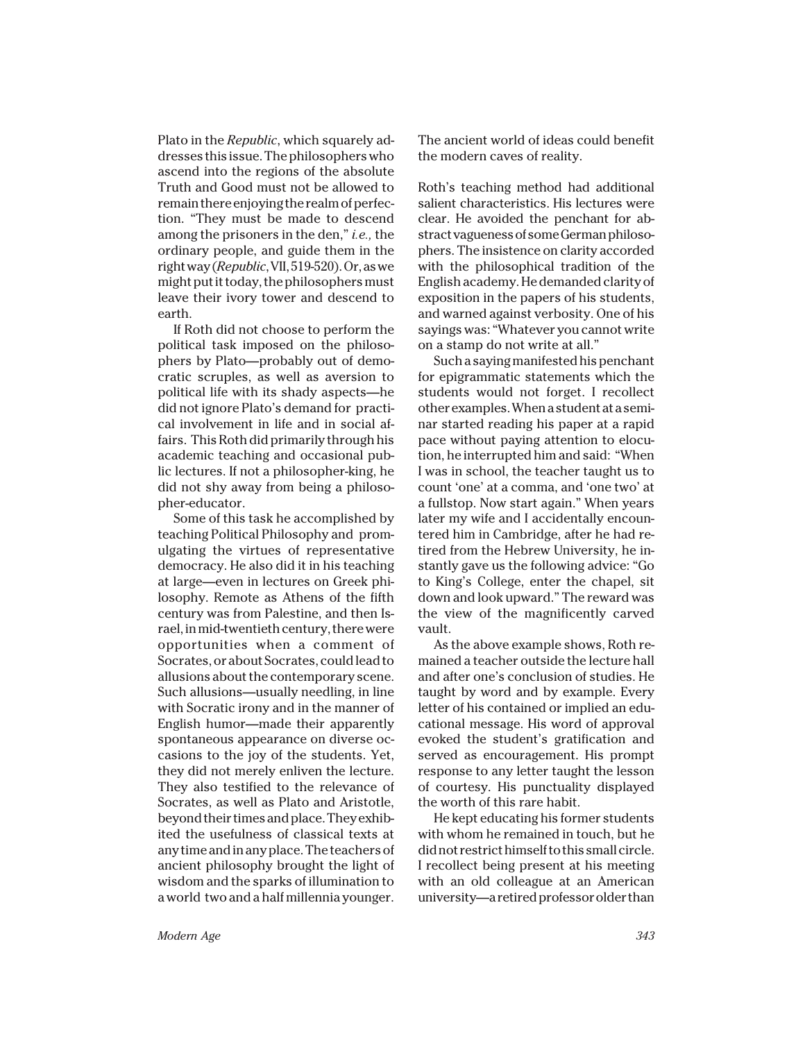Plato in the *Republic*, which squarely addresses this issue. The philosophers who ascend into the regions of the absolute Truth and Good must not be allowed to remain there enjoying the realm of perfection. "They must be made to descend among the prisoners in the den," *i.e.,* the ordinary people, and guide them in the right way (*Republic*, VII, 519-520). Or, as we might put it today, the philosophers must leave their ivory tower and descend to earth.

If Roth did not choose to perform the political task imposed on the philosophers by Plato—probably out of democratic scruples, as well as aversion to political life with its shady aspects—he did not ignore Plato's demand for practical involvement in life and in social affairs. This Roth did primarily through his academic teaching and occasional public lectures. If not a philosopher-king, he did not shy away from being a philosopher-educator.

Some of this task he accomplished by teaching Political Philosophy and promulgating the virtues of representative democracy. He also did it in his teaching at large—even in lectures on Greek philosophy. Remote as Athens of the fifth century was from Palestine, and then Israel, in mid-twentieth century, there were opportunities when a comment of Socrates, or about Socrates, could lead to allusions about the contemporary scene. Such allusions—usually needling, in line with Socratic irony and in the manner of English humor—made their apparently spontaneous appearance on diverse occasions to the joy of the students. Yet, they did not merely enliven the lecture. They also testified to the relevance of Socrates, as well as Plato and Aristotle, beyond their times and place. They exhibited the usefulness of classical texts at any time and in any place. The teachers of ancient philosophy brought the light of wisdom and the sparks of illumination to a world two and a half millennia younger.

The ancient world of ideas could benefit the modern caves of reality.

Roth's teaching method had additional salient characteristics. His lectures were clear. He avoided the penchant for abstract vagueness of some German philosophers. The insistence on clarity accorded with the philosophical tradition of the English academy. He demanded clarity of exposition in the papers of his students, and warned against verbosity. One of his sayings was: "Whatever you cannot write on a stamp do not write at all."

Such a saying manifested his penchant for epigrammatic statements which the students would not forget. I recollect other examples. When a student at a seminar started reading his paper at a rapid pace without paying attention to elocution, he interrupted him and said: "When I was in school, the teacher taught us to count 'one' at a comma, and 'one two' at a fullstop. Now start again." When years later my wife and I accidentally encountered him in Cambridge, after he had retired from the Hebrew University, he instantly gave us the following advice: "Go to King's College, enter the chapel, sit down and look upward." The reward was the view of the magnificently carved vault.

As the above example shows, Roth remained a teacher outside the lecture hall and after one's conclusion of studies. He taught by word and by example. Every letter of his contained or implied an educational message. His word of approval evoked the student's gratification and served as encouragement. His prompt response to any letter taught the lesson of courtesy. His punctuality displayed the worth of this rare habit.

He kept educating his former students with whom he remained in touch, but he did not restrict himself to this small circle. I recollect being present at his meeting with an old colleague at an American university—a retired professor older than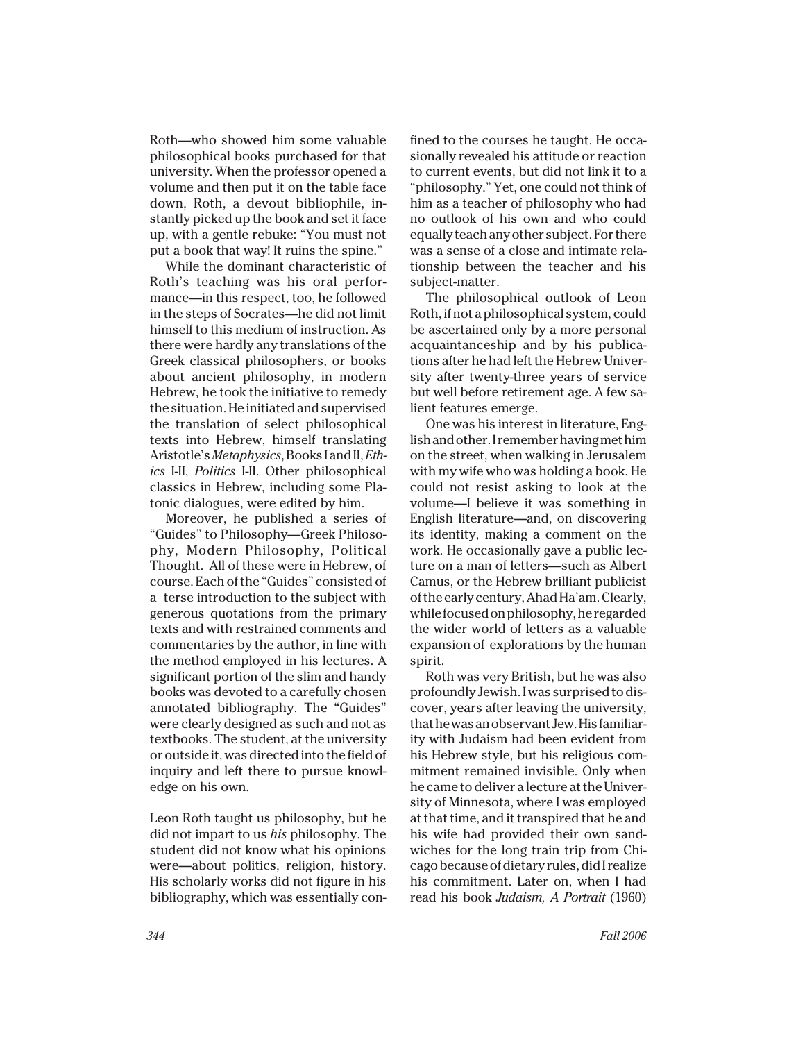Roth—who showed him some valuable philosophical books purchased for that university. When the professor opened a volume and then put it on the table face down, Roth, a devout bibliophile, instantly picked up the book and set it face up, with a gentle rebuke: "You must not put a book that way! It ruins the spine."

While the dominant characteristic of Roth's teaching was his oral performance—in this respect, too, he followed in the steps of Socrates—he did not limit himself to this medium of instruction. As there were hardly any translations of the Greek classical philosophers, or books about ancient philosophy, in modern Hebrew, he took the initiative to remedy the situation. He initiated and supervised the translation of select philosophical texts into Hebrew, himself translating Aristotle's *Metaphysics*, Books I and II, *Ethics* I-II, *Politics* I-II. Other philosophical classics in Hebrew, including some Platonic dialogues, were edited by him.

Moreover, he published a series of "Guides" to Philosophy—Greek Philosophy, Modern Philosophy, Political Thought. All of these were in Hebrew, of course. Each of the "Guides" consisted of a terse introduction to the subject with generous quotations from the primary texts and with restrained comments and commentaries by the author, in line with the method employed in his lectures. A significant portion of the slim and handy books was devoted to a carefully chosen annotated bibliography. The "Guides" were clearly designed as such and not as textbooks. The student, at the university or outside it, was directed into the field of inquiry and left there to pursue knowledge on his own.

Leon Roth taught us philosophy, but he did not impart to us *his* philosophy. The student did not know what his opinions were—about politics, religion, history. His scholarly works did not figure in his bibliography, which was essentially confined to the courses he taught. He occasionally revealed his attitude or reaction to current events, but did not link it to a "philosophy." Yet, one could not think of him as a teacher of philosophy who had no outlook of his own and who could equally teach any other subject. For there was a sense of a close and intimate relationship between the teacher and his subject-matter.

The philosophical outlook of Leon Roth, if not a philosophical system, could be ascertained only by a more personal acquaintanceship and by his publications after he had left the Hebrew University after twenty-three years of service but well before retirement age. A few salient features emerge.

One was his interest in literature, English and other. I remember having met him on the street, when walking in Jerusalem with my wife who was holding a book. He could not resist asking to look at the volume—I believe it was something in English literature—and, on discovering its identity, making a comment on the work. He occasionally gave a public lecture on a man of letters—such as Albert Camus, or the Hebrew brilliant publicist of the early century, Ahad Ha'am. Clearly, while focused on philosophy, he regarded the wider world of letters as a valuable expansion of explorations by the human spirit.

Roth was very British, but he was also profoundly Jewish. I was surprised to discover, years after leaving the university, that he was an observant Jew. His familiarity with Judaism had been evident from his Hebrew style, but his religious commitment remained invisible. Only when he came to deliver a lecture at the University of Minnesota, where I was employed at that time, and it transpired that he and his wife had provided their own sandwiches for the long train trip from Chicago because of dietary rules, did I realize his commitment. Later on, when I had read his book *Judaism, A Portrait* (1960)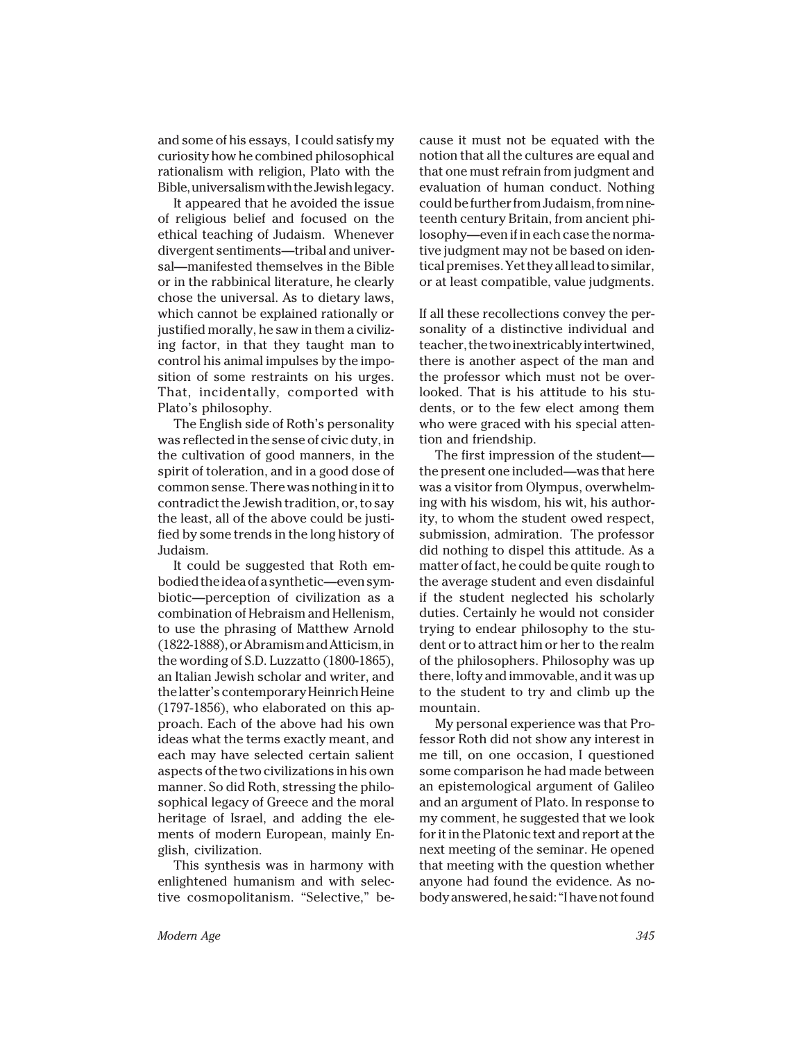and some of his essays, I could satisfy my curiosity how he combined philosophical rationalism with religion, Plato with the Bible, universalism with the Jewish legacy.

It appeared that he avoided the issue of religious belief and focused on the ethical teaching of Judaism. Whenever divergent sentiments—tribal and universal—manifested themselves in the Bible or in the rabbinical literature, he clearly chose the universal. As to dietary laws, which cannot be explained rationally or justified morally, he saw in them a civilizing factor, in that they taught man to control his animal impulses by the imposition of some restraints on his urges. That, incidentally, comported with Plato's philosophy.

The English side of Roth's personality was reflected in the sense of civic duty, in the cultivation of good manners, in the spirit of toleration, and in a good dose of common sense. There was nothing in it to contradict the Jewish tradition, or, to say the least, all of the above could be justified by some trends in the long history of Judaism.

It could be suggested that Roth embodied the idea of a synthetic—even symbiotic—perception of civilization as a combination of Hebraism and Hellenism, to use the phrasing of Matthew Arnold (1822-1888), or Abramism and Atticism, in the wording of S.D. Luzzatto (1800-1865), an Italian Jewish scholar and writer, and the latter's contemporary Heinrich Heine (1797-1856), who elaborated on this approach. Each of the above had his own ideas what the terms exactly meant, and each may have selected certain salient aspects of the two civilizations in his own manner. So did Roth, stressing the philosophical legacy of Greece and the moral heritage of Israel, and adding the elements of modern European, mainly English, civilization.

This synthesis was in harmony with enlightened humanism and with selective cosmopolitanism. "Selective," because it must not be equated with the notion that all the cultures are equal and that one must refrain from judgment and evaluation of human conduct. Nothing could be further from Judaism, from nineteenth century Britain, from ancient philosophy—even if in each case the normative judgment may not be based on identical premises. Yet they all lead to similar, or at least compatible, value judgments.

If all these recollections convey the personality of a distinctive individual and teacher, the two inextricably intertwined, there is another aspect of the man and the professor which must not be overlooked. That is his attitude to his students, or to the few elect among them who were graced with his special attention and friendship.

The first impression of the student the present one included—was that here was a visitor from Olympus, overwhelming with his wisdom, his wit, his authority, to whom the student owed respect, submission, admiration. The professor did nothing to dispel this attitude. As a matter of fact, he could be quite rough to the average student and even disdainful if the student neglected his scholarly duties. Certainly he would not consider trying to endear philosophy to the student or to attract him or her to the realm of the philosophers. Philosophy was up there, lofty and immovable, and it was up to the student to try and climb up the mountain.

My personal experience was that Professor Roth did not show any interest in me till, on one occasion, I questioned some comparison he had made between an epistemological argument of Galileo and an argument of Plato. In response to my comment, he suggested that we look for it in the Platonic text and report at the next meeting of the seminar. He opened that meeting with the question whether anyone had found the evidence. As nobody answered, he said: "I have not found